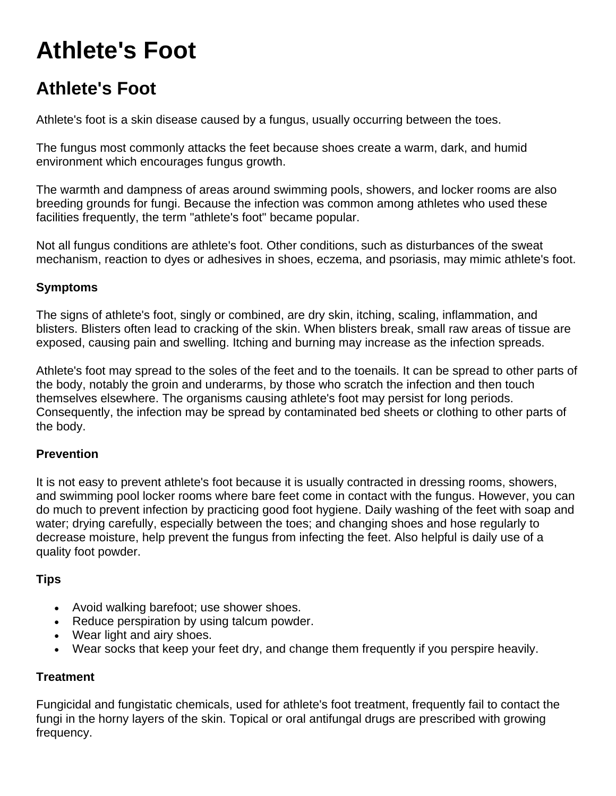# **Athlete's Foot**

## **Athlete's Foot**

Athlete's foot is a skin disease caused by a fungus, usually occurring between the toes.

The fungus most commonly attacks the feet because shoes create a warm, dark, and humid environment which encourages fungus growth.

The warmth and dampness of areas around swimming pools, showers, and locker rooms are also breeding grounds for fungi. Because the infection was common among athletes who used these facilities frequently, the term "athlete's foot" became popular.

Not all fungus conditions are athlete's foot. Other conditions, such as disturbances of the sweat mechanism, reaction to dyes or adhesives in shoes, eczema, and psoriasis, may mimic athlete's foot.

### **Symptoms**

The signs of athlete's foot, singly or combined, are dry skin, itching, scaling, inflammation, and blisters. Blisters often lead to cracking of the skin. When blisters break, small raw areas of tissue are exposed, causing pain and swelling. Itching and burning may increase as the infection spreads.

Athlete's foot may spread to the soles of the feet and to the toenails. It can be spread to other parts of the body, notably the groin and underarms, by those who scratch the infection and then touch themselves elsewhere. The organisms causing athlete's foot may persist for long periods. Consequently, the infection may be spread by contaminated bed sheets or clothing to other parts of the body.

### **Prevention**

It is not easy to prevent athlete's foot because it is usually contracted in dressing rooms, showers, and swimming pool locker rooms where bare feet come in contact with the fungus. However, you can do much to prevent infection by practicing good foot hygiene. Daily washing of the feet with soap and water; drying carefully, especially between the toes; and changing shoes and hose regularly to decrease moisture, help prevent the fungus from infecting the feet. Also helpful is daily use of a quality foot powder.

### **Tips**

- Avoid walking barefoot; use shower shoes.
- Reduce perspiration by using talcum powder.
- Wear light and airy shoes.
- Wear socks that keep your feet dry, and change them frequently if you perspire heavily.

### **Treatment**

Fungicidal and fungistatic chemicals, used for athlete's foot treatment, frequently fail to contact the fungi in the horny layers of the skin. Topical or oral antifungal drugs are prescribed with growing frequency.